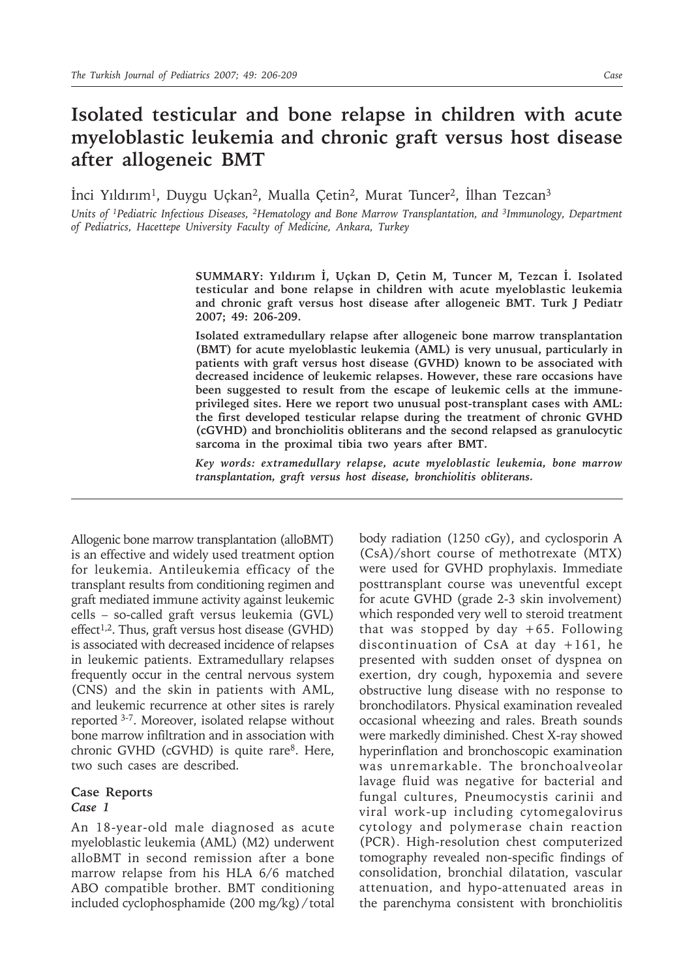# **Isolated testicular and bone relapse in children with acute myeloblastic leukemia and chronic graft versus host disease after allogeneic BMT**

İnci Yıldırım1, Duygu Uçkan2, Mualla Çetin2, Murat Tuncer2, İlhan Tezcan3

*Units of <sup>1</sup>Pediatric Infectious Diseases, <sup>2</sup>Hematology and Bone Marrow Transplantation, and <sup>3</sup>Immunology, Department of Pediatrics, Hacettepe University Faculty of Medicine, Ankara, Turkey*

> **SUMMARY: Yıldırım İ, Uçkan D, Çetin M, Tuncer M, Tezcan İ. Isolated testicular and bone relapse in children with acute myeloblastic leukemia and chronic graft versus host disease after allogeneic BMT. Turk J Pediatr 2007; 49: 206-209.**

> **Isolated extramedullary relapse after allogeneic bone marrow transplantation (BMT) for acute myeloblastic leukemia (AML) is very unusual, particularly in patients with graft versus host disease (GVHD) known to be associated with decreased incidence of leukemic relapses. However, these rare occasions have been suggested to result from the escape of leukemic cells at the immuneprivileged sites. Here we report two unusual post-transplant cases with AML: the first developed testicular relapse during the treatment of chronic GVHD (cGVHD) and bronchiolitis obliterans and the second relapsed as granulocytic sarcoma in the proximal tibia two years after BMT.**

> *Key words: extramedullary relapse, acute myeloblastic leukemia, bone marrow transplantation, graft versus host disease, bronchiolitis obliterans.*

Allogenic bone marrow transplantation (alloBMT) is an effective and widely used treatment option for leukemia. Antileukemia efficacy of the transplant results from conditioning regimen and graft mediated immune activity against leukemic cells – so-called graft versus leukemia (GVL)  $effect<sup>1,2</sup>$ . Thus, graft versus host disease (GVHD) is associated with decreased incidence of relapses in leukemic patients. Extramedullary relapses frequently occur in the central nervous system (CNS) and the skin in patients with AML, and leukemic recurrence at other sites is rarely reported 3-7. Moreover, isolated relapse without bone marrow infiltration and in association with chronic GVHD (cGVHD) is quite rare<sup>8</sup>. Here, two such cases are described.

## **Case Reports** *Case 1*

An 18-year-old male diagnosed as acute myeloblastic leukemia (AML) (M2) underwent alloBMT in second remission after a bone marrow relapse from his HLA 6/6 matched ABO compatible brother. BMT conditioning included cyclophosphamide (200 mg/kg) / total

body radiation (1250 cGy), and cyclosporin A (CsA)/short course of methotrexate (MTX) were used for GVHD prophylaxis. Immediate posttransplant course was uneventful except for acute GVHD (grade 2-3 skin involvement) which responded very well to steroid treatment that was stopped by day  $+65$ . Following discontinuation of CsA at day +161, he presented with sudden onset of dyspnea on exertion, dry cough, hypoxemia and severe obstructive lung disease with no response to bronchodilators. Physical examination revealed occasional wheezing and rales. Breath sounds were markedly diminished. Chest X-ray showed hyperinflation and bronchoscopic examination was unremarkable. The bronchoalveolar lavage fluid was negative for bacterial and fungal cultures, Pneumocystis carinii and viral work-up including cytomegalovirus cytology and polymerase chain reaction (PCR). High-resolution chest computerized tomography revealed non-specific findings of consolidation, bronchial dilatation, vascular attenuation, and hypo-attenuated areas in the parenchyma consistent with bronchiolitis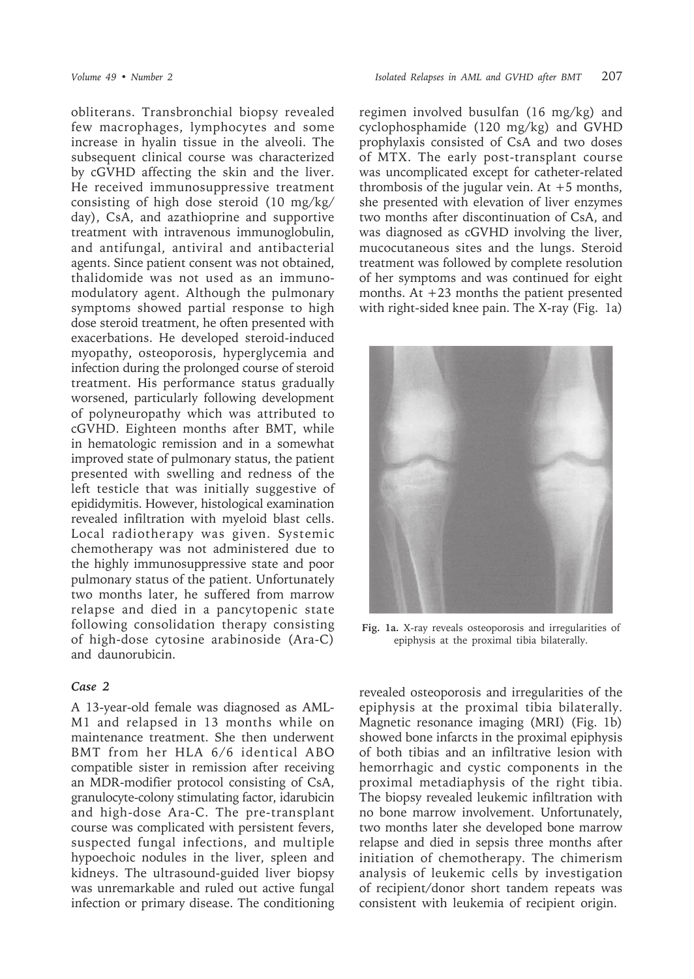obliterans. Transbronchial biopsy revealed few macrophages, lymphocytes and some increase in hyalin tissue in the alveoli. The subsequent clinical course was characterized by cGVHD affecting the skin and the liver. He received immunosuppressive treatment consisting of high dose steroid (10 mg/kg/ day), CsA, and azathioprine and supportive treatment with intravenous immunoglobulin, and antifungal, antiviral and antibacterial agents. Since patient consent was not obtained, thalidomide was not used as an immunomodulatory agent. Although the pulmonary symptoms showed partial response to high dose steroid treatment, he often presented with exacerbations. He developed steroid-induced myopathy, osteoporosis, hyperglycemia and infection during the prolonged course of steroid treatment. His performance status gradually worsened, particularly following development of polyneuropathy which was attributed to cGVHD. Eighteen months after BMT, while in hematologic remission and in a somewhat improved state of pulmonary status, the patient presented with swelling and redness of the left testicle that was initially suggestive of epididymitis. However, histological examination revealed infiltration with myeloid blast cells. Local radiotherapy was given. Systemic chemotherapy was not administered due to the highly immunosuppressive state and poor pulmonary status of the patient. Unfortunately two months later, he suffered from marrow relapse and died in a pancytopenic state following consolidation therapy consisting of high-dose cytosine arabinoside (Ara-C) and daunorubicin.

# *Case 2*

A 13-year-old female was diagnosed as AML-M1 and relapsed in 13 months while on maintenance treatment. She then underwent BMT from her HLA 6/6 identical ABO compatible sister in remission after receiving an MDR-modifier protocol consisting of CsA, granulocyte-colony stimulating factor, idarubicin and high-dose Ara-C. The pre-transplant course was complicated with persistent fevers, suspected fungal infections, and multiple hypoechoic nodules in the liver, spleen and kidneys. The ultrasound-guided liver biopsy was unremarkable and ruled out active fungal infection or primary disease. The conditioning

regimen involved busulfan (16 mg/kg) and cyclophosphamide (120 mg/kg) and GVHD prophylaxis consisted of CsA and two doses of MTX. The early post-transplant course was uncomplicated except for catheter-related thrombosis of the jugular vein. At  $+5$  months, she presented with elevation of liver enzymes two months after discontinuation of CsA, and was diagnosed as cGVHD involving the liver, mucocutaneous sites and the lungs. Steroid treatment was followed by complete resolution of her symptoms and was continued for eight months. At +23 months the patient presented with right-sided knee pain. The X-ray (Fig. 1a)



**Fig. 1a.** X-ray reveals osteoporosis and irregularities of epiphysis at the proximal tibia bilaterally.

revealed osteoporosis and irregularities of the epiphysis at the proximal tibia bilaterally. Magnetic resonance imaging (MRI) (Fig. 1b) showed bone infarcts in the proximal epiphysis of both tibias and an infiltrative lesion with hemorrhagic and cystic components in the proximal metadiaphysis of the right tibia. The biopsy revealed leukemic infiltration with no bone marrow involvement. Unfortunately, two months later she developed bone marrow relapse and died in sepsis three months after initiation of chemotherapy. The chimerism analysis of leukemic cells by investigation of recipient/donor short tandem repeats was consistent with leukemia of recipient origin.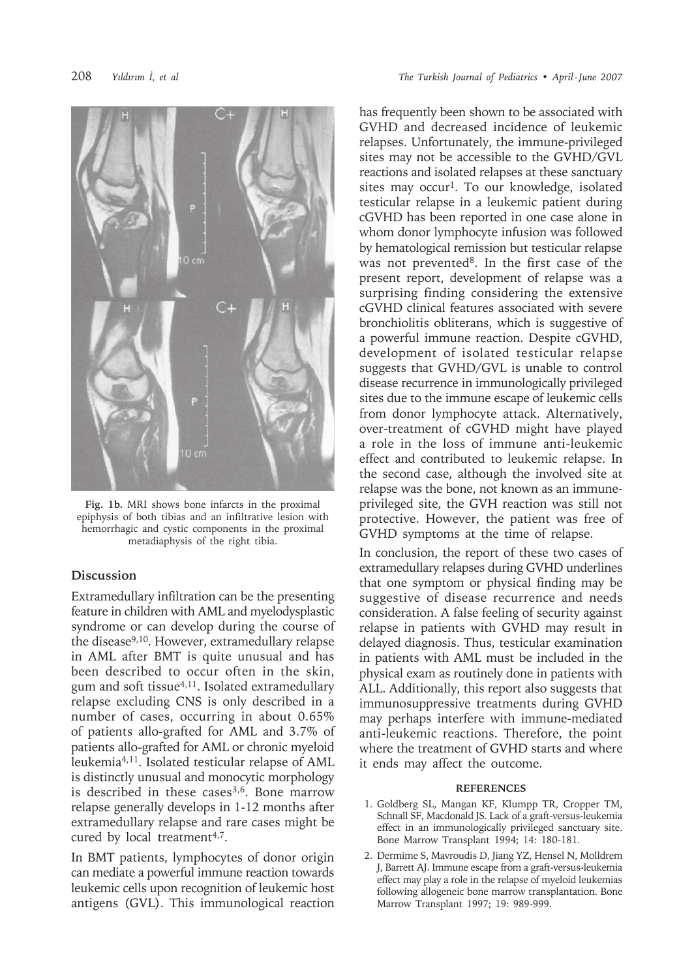

**Fig. 1b.** MRI shows bone infarcts in the proximal epiphysis of both tibias and an infiltrative lesion with hemorrhagic and cystic components in the proximal metadiaphysis of the right tibia.

## **Discussion**

Extramedullary infiltration can be the presenting feature in children with AML and myelodysplastic syndrome or can develop during the course of the disease9,10. However, extramedullary relapse in AML after BMT is quite unusual and has been described to occur often in the skin, gum and soft tissue<sup>4,11</sup>. Isolated extramedullary relapse excluding CNS is only described in a number of cases, occurring in about 0.65% of patients allo-grafted for AML and 3.7% of patients allo-grafted for AML or chronic myeloid leukemia4,11. Isolated testicular relapse of AML is distinctly unusual and monocytic morphology is described in these cases<sup>3,6</sup>. Bone marrow relapse generally develops in 1-12 months after extramedullary relapse and rare cases might be cured by local treatment<sup>4,7</sup>.

In BMT patients, lymphocytes of donor origin can mediate a powerful immune reaction towards leukemic cells upon recognition of leukemic host antigens (GVL). This immunological reaction

has frequently been shown to be associated with GVHD and decreased incidence of leukemic relapses. Unfortunately, the immune-privileged sites may not be accessible to the GVHD/GVL reactions and isolated relapses at these sanctuary sites may occur<sup>1</sup>. To our knowledge, isolated testicular relapse in a leukemic patient during cGVHD has been reported in one case alone in whom donor lymphocyte infusion was followed by hematological remission but testicular relapse was not prevented<sup>8</sup>. In the first case of the present report, development of relapse was a surprising finding considering the extensive cGVHD clinical features associated with severe bronchiolitis obliterans, which is suggestive of a powerful immune reaction. Despite cGVHD, development of isolated testicular relapse suggests that GVHD/GVL is unable to control disease recurrence in immunologically privileged sites due to the immune escape of leukemic cells from donor lymphocyte attack. Alternatively, over-treatment of cGVHD might have played a role in the loss of immune anti-leukemic effect and contributed to leukemic relapse. In the second case, although the involved site at relapse was the bone, not known as an immuneprivileged site, the GVH reaction was still not protective. However, the patient was free of GVHD symptoms at the time of relapse.

In conclusion, the report of these two cases of extramedullary relapses during GVHD underlines that one symptom or physical finding may be suggestive of disease recurrence and needs consideration. A false feeling of security against relapse in patients with GVHD may result in delayed diagnosis. Thus, testicular examination in patients with AML must be included in the physical exam as routinely done in patients with ALL. Additionally, this report also suggests that immunosuppressive treatments during GVHD may perhaps interfere with immune-mediated anti-leukemic reactions. Therefore, the point where the treatment of GVHD starts and where it ends may affect the outcome.

#### **REFERENCES**

- 1. Goldberg SL, Mangan KF, Klumpp TR, Cropper TM, Schnall SF, Macdonald JS. Lack of a graft-versus-leukemia effect in an immunologically privileged sanctuary site. Bone Marrow Transplant 1994; 14: 180-181.
- 2. Dermime S, Mavroudis D, Jiang YZ, Hensel N, Molldrem J, Barrett AJ. Immune escape from a graft-versus-leukemia effect may play a role in the relapse of myeloid leukemias following allogeneic bone marrow transplantation. Bone Marrow Transplant 1997; 19: 989-999.